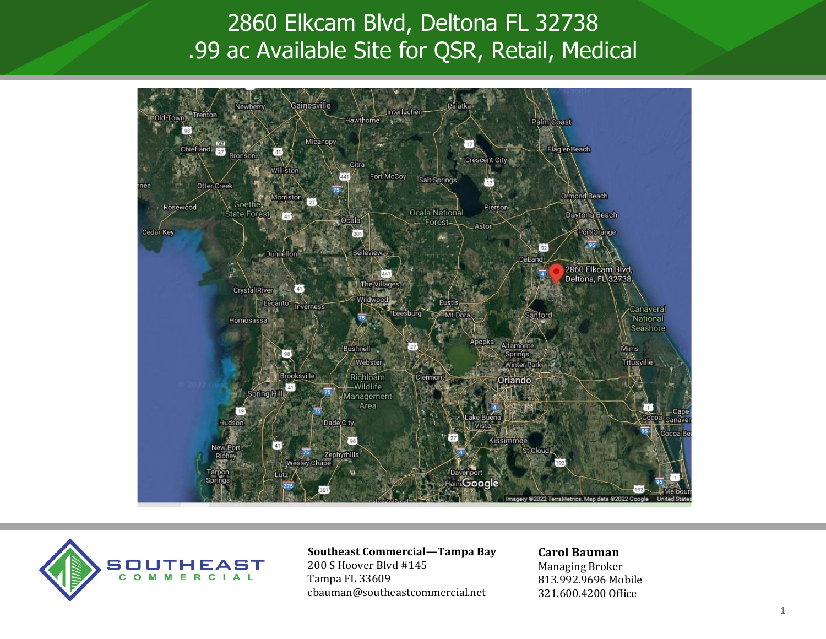# 2860 Elkcam Blvd, Deltona FL 32738 .99 ac Available Site for QSR, Retail, Medical





#### **Southeast Commercial—Tampa Bay** 200 S Hoover Blvd #145

Tampa FL 33609 cbauman@southeastcommercial.net

#### **Carol Bauman**

Managing Broker 813.992.9696 Mobile 321.600.4200 Office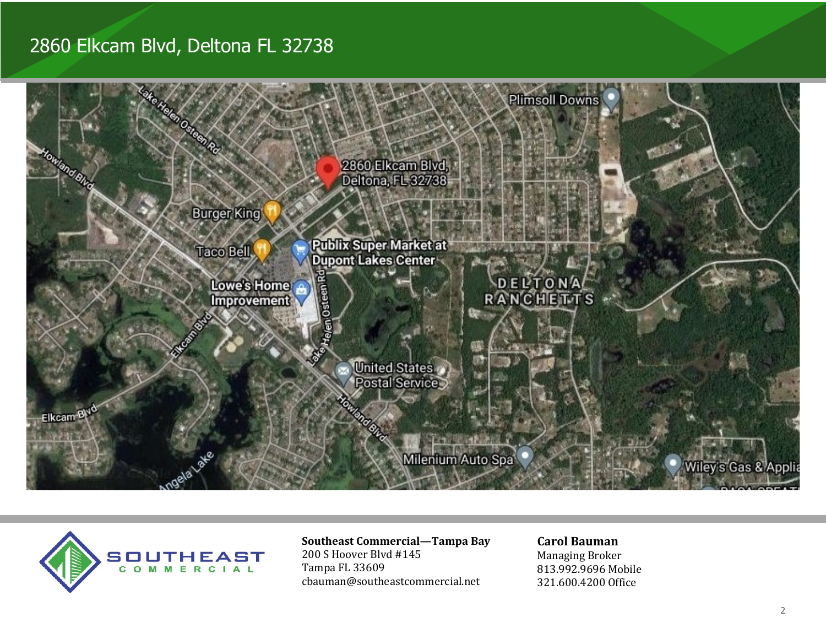## 2860 Elkcam Blvd, Deltona FL 32738





### **Southeast Commercial—Tampa Bay**

200 S Hoover Blvd #145 Tampa FL 33609 cbauman@southeastcommercial.net

### **Carol Bauman**

Managing Broker 813.992.9696 Mobile 321.600.4200 Office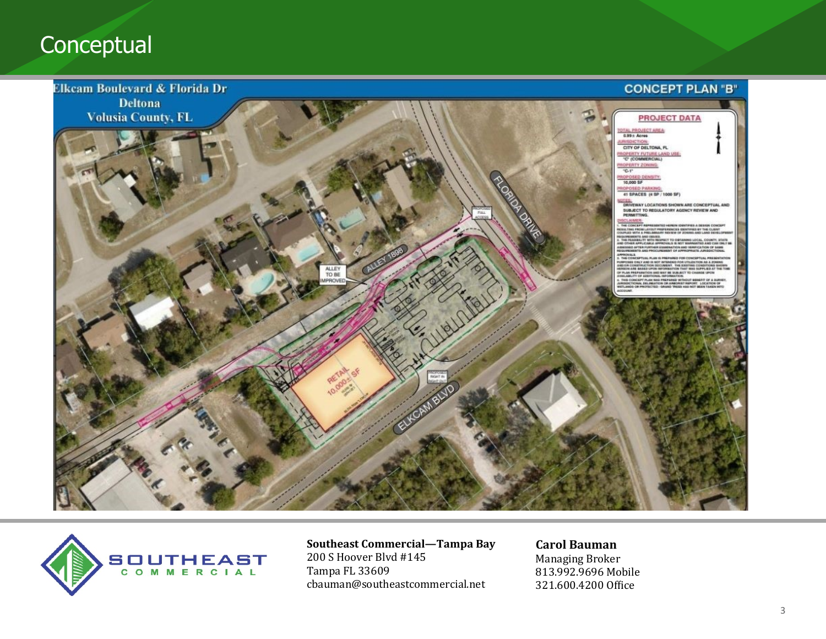## **Conceptual**





**Southeast Commercial—Tampa Bay** 200 S Hoover Blvd #145 Tampa FL 33609 cbauman@southeastcommercial.net

**Carol Bauman**  Managing Broker 813.992.9696 Mobile 321.600.4200 Office